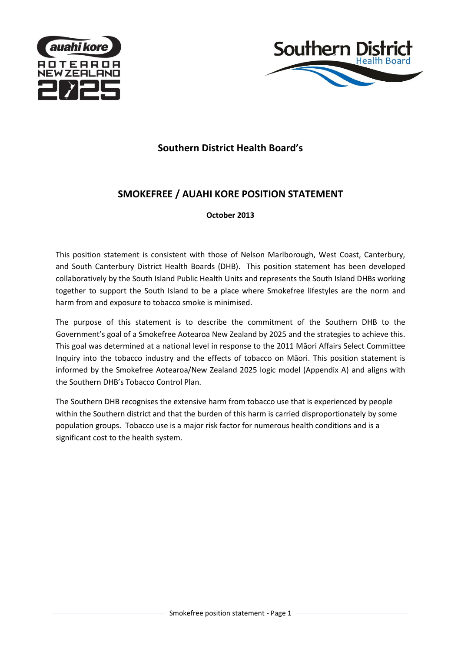



# **Southern District Health Board's**

# **SMOKEFREE / AUAHI KORE POSITION STATEMENT**

# **October 2013**

This position statement is consistent with those of Nelson Marlborough, West Coast, Canterbury, and South Canterbury District Health Boards (DHB). This position statement has been developed collaboratively by the South Island Public Health Units and represents the South Island DHBs working together to support the South Island to be a place where Smokefree lifestyles are the norm and harm from and exposure to tobacco smoke is minimised.

The purpose of this statement is to describe the commitment of the Southern DHB to the Government's goal of a Smokefree Aotearoa New Zealand by 2025 and the strategies to achieve this. This goal was determined at a national level in response to the 2011 Māori Affairs Select Committee Inquiry into the tobacco industry and the effects of tobacco on Māori. This position statement is informed by the Smokefree Aotearoa/New Zealand 2025 logic model (Appendix A) and aligns with the Southern DHB's Tobacco Control Plan.

The Southern DHB recognises the extensive harm from tobacco use that is experienced by people within the Southern district and that the burden of this harm is carried disproportionately by some population groups. Tobacco use is a major risk factor for numerous health conditions and is a significant cost to the health system.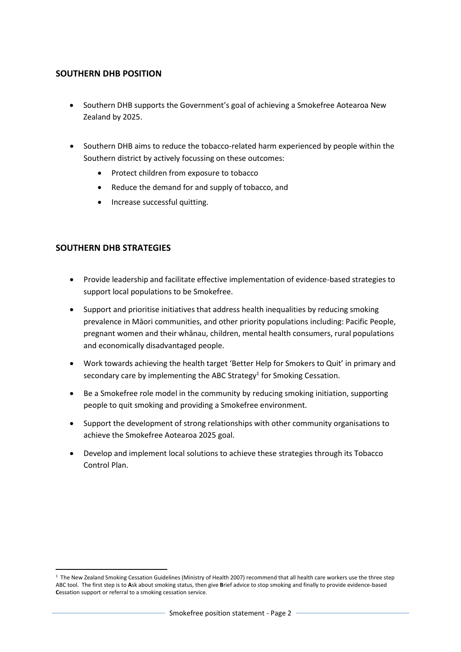### **SOUTHERN DHB POSITION**

- Southern DHB supports the Government's goal of achieving a Smokefree Aotearoa New Zealand by 2025.
- Southern DHB aims to reduce the tobacco-related harm experienced by people within the Southern district by actively focussing on these outcomes:
	- Protect children from exposure to tobacco
	- Reduce the demand for and supply of tobacco, and
	- Increase successful quitting.

# **SOUTHERN DHB STRATEGIES**

- Provide leadership and facilitate effective implementation of evidence-based strategies to support local populations to be Smokefree.
- Support and prioritise initiatives that address health inequalities by reducing smoking prevalence in Māori communities, and other priority populations including: Pacific People, pregnant women and their whānau, children, mental health consumers, rural populations and economically disadvantaged people.
- Work towards achieving the health target 'Better Help for Smokers to Quit' in primary and secondary care by implementing the ABC Strategy<sup>1</sup> for Smoking Cessation.
- Be a Smokefree role model in the community by reducing smoking initiation, supporting people to quit smoking and providing a Smokefree environment.
- Support the development of strong relationships with other community organisations to achieve the Smokefree Aotearoa 2025 goal.
- Develop and implement local solutions to achieve these strategies through its Tobacco Control Plan.

**<sup>.</sup>** 1 The New Zealand Smoking Cessation Guidelines (Ministry of Health 2007) recommend that all health care workers use the three step ABC tool. The first step is to **A**sk about smoking status, then give **B**rief advice to stop smoking and finally to provide evidence-based **C**essation support or referral to a smoking cessation service.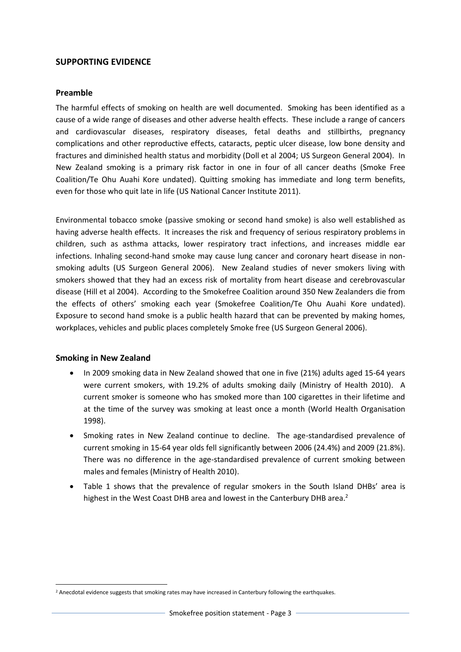#### **SUPPORTING EVIDENCE**

#### **Preamble**

The harmful effects of smoking on health are well documented. Smoking has been identified as a cause of a wide range of diseases and other adverse health effects. These include a range of cancers and cardiovascular diseases, respiratory diseases, fetal deaths and stillbirths, pregnancy complications and other reproductive effects, cataracts, peptic ulcer disease, low bone density and fractures and diminished health status and morbidity (Doll et al 2004; US Surgeon General 2004). In New Zealand smoking is a primary risk factor in one in four of all cancer deaths (Smoke Free Coalition/Te Ohu Auahi Kore undated). Quitting smoking has immediate and long term benefits, even for those who quit late in life (US National Cancer Institute 2011).

Environmental tobacco smoke (passive smoking or second hand smoke) is also well established as having adverse health effects. It increases the risk and frequency of serious respiratory problems in children, such as asthma attacks, lower respiratory tract infections, and increases middle ear infections. Inhaling second-hand smoke may cause lung cancer and coronary heart disease in nonsmoking adults (US Surgeon General 2006). New Zealand studies of never smokers living with smokers showed that they had an excess risk of mortality from heart disease and cerebrovascular disease (Hill et al 2004). According to the Smokefree Coalition around 350 New Zealanders die from the effects of others' smoking each year (Smokefree Coalition/Te Ohu Auahi Kore undated). Exposure to second hand smoke is a public health hazard that can be prevented by making homes, workplaces, vehicles and public places completely Smoke free (US Surgeon General 2006).

#### **Smoking in New Zealand**

 $\overline{a}$ 

- In 2009 smoking data in New Zealand showed that one in five (21%) adults aged 15-64 years were current smokers, with 19.2% of adults smoking daily (Ministry of Health 2010). A current smoker is someone who has smoked more than 100 cigarettes in their lifetime and at the time of the survey was smoking at least once a month (World Health Organisation 1998).
- Smoking rates in New Zealand continue to decline. The age-standardised prevalence of current smoking in 15-64 year olds fell significantly between 2006 (24.4%) and 2009 (21.8%). There was no difference in the age-standardised prevalence of current smoking between males and females (Ministry of Health 2010).
- Table 1 shows that the prevalence of regular smokers in the South Island DHBs' area is highest in the West Coast DHB area and lowest in the Canterbury DHB area.<sup>2</sup>

<sup>&</sup>lt;sup>2</sup> Anecdotal evidence suggests that smoking rates may have increased in Canterbury following the earthquakes.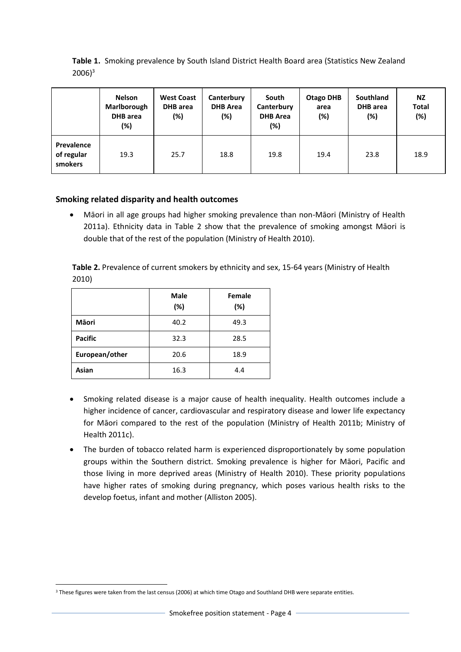|                                     | <b>Nelson</b><br>Marlborough<br>DHB area<br>(%) | <b>West Coast</b><br><b>DHB</b> area<br>$(\%)$ | Canterbury<br><b>DHB</b> Area<br>(%) | South<br>Canterbury<br><b>DHB Area</b><br>(%) | <b>Otago DHB</b><br>area<br>(%) | <b>Southland</b><br><b>DHB</b> area<br>(%) | <b>NZ</b><br><b>Total</b><br>(%) |
|-------------------------------------|-------------------------------------------------|------------------------------------------------|--------------------------------------|-----------------------------------------------|---------------------------------|--------------------------------------------|----------------------------------|
| Prevalence<br>of regular<br>smokers | 19.3                                            | 25.7                                           | 18.8                                 | 19.8                                          | 19.4                            | 23.8                                       | 18.9                             |

**Table 1.** Smoking prevalence by South Island District Health Board area (Statistics New Zealand  $2006$ <sup>3</sup>

### **Smoking related disparity and health outcomes**

 Māori in all age groups had higher smoking prevalence than non-Māori (Ministry of Health 2011a). Ethnicity data in Table 2 show that the prevalence of smoking amongst Māori is double that of the rest of the population (Ministry of Health 2010).

**Table 2.** Prevalence of current smokers by ethnicity and sex, 15-64 years (Ministry of Health 2010)

|                | <b>Male</b><br>(%) | Female<br>(%) |
|----------------|--------------------|---------------|
| <b>M</b> aori  | 40.2               | 49.3          |
| <b>Pacific</b> | 32.3               | 28.5          |
| European/other | 20.6               | 18.9          |
| Asian          | 16.3               | 4.4           |

- Smoking related disease is a major cause of health inequality. Health outcomes include a higher incidence of cancer, cardiovascular and respiratory disease and lower life expectancy for Māori compared to the rest of the population (Ministry of Health 2011b; Ministry of Health 2011c).
- The burden of tobacco related harm is experienced disproportionately by some population groups within the Southern district. Smoking prevalence is higher for Māori, Pacific and those living in more deprived areas (Ministry of Health 2010). These priority populations have higher rates of smoking during pregnancy, which poses various health risks to the develop foetus, infant and mother (Alliston 2005).

 $\overline{a}$ <sup>3</sup> These figures were taken from the last census (2006) at which time Otago and Southland DHB were separate entities.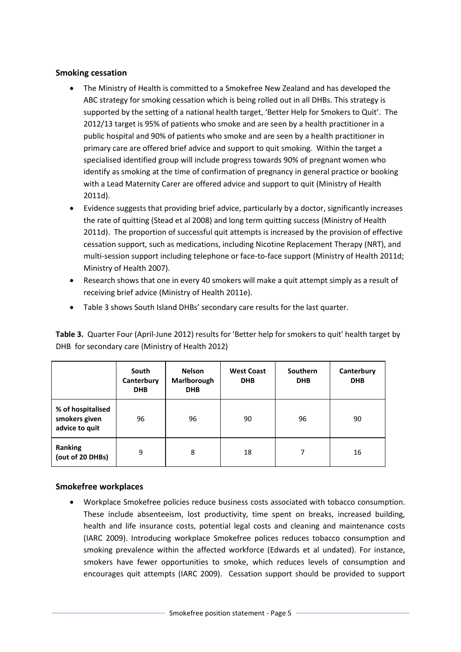### **Smoking cessation**

- The Ministry of Health is committed to a Smokefree New Zealand and has developed the ABC strategy for smoking cessation which is being rolled out in all DHBs. This strategy is supported by the setting of a national health target, 'Better Help for Smokers to Quit'. The 2012/13 target is 95% of patients who smoke and are seen by a health practitioner in a public hospital and 90% of patients who smoke and are seen by a health practitioner in primary care are offered brief advice and support to quit smoking. Within the target a specialised identified group will include progress towards 90% of pregnant women who identify as smoking at the time of confirmation of pregnancy in general practice or booking with a Lead Maternity Carer are offered advice and support to quit (Ministry of Health 2011d).
- Evidence suggests that providing brief advice, particularly by a doctor, significantly increases the rate of quitting (Stead et al 2008) and long term quitting success (Ministry of Health 2011d). The proportion of successful quit attempts is increased by the provision of effective cessation support, such as medications, including Nicotine Replacement Therapy (NRT), and multi-session support including telephone or face-to-face support (Ministry of Health 2011d; Ministry of Health 2007).
- Research shows that one in every 40 smokers will make a quit attempt simply as a result of receiving brief advice (Ministry of Health 2011e).
- Table 3 shows South Island DHBs' secondary care results for the last quarter.

**Table 3.** Quarter Four (April-June 2012) results for 'Better help for smokers to quit' health target by DHB for secondary care (Ministry of Health 2012)

|                                                      | South<br>Canterbury<br><b>DHB</b> | <b>Nelson</b><br>Marlborough<br><b>DHB</b> | <b>West Coast</b><br><b>DHB</b> | <b>Southern</b><br><b>DHB</b> | Canterbury<br><b>DHB</b> |
|------------------------------------------------------|-----------------------------------|--------------------------------------------|---------------------------------|-------------------------------|--------------------------|
| % of hospitalised<br>smokers given<br>advice to quit | 96                                | 96                                         | 90                              | 96                            | 90                       |
| <b>Ranking</b><br>(out of 20 DHBs)                   | 9                                 | 8                                          | 18                              | 7                             | 16                       |

# **Smokefree workplaces**

 Workplace Smokefree policies reduce business costs associated with tobacco consumption. These include absenteeism, lost productivity, time spent on breaks, increased building, health and life insurance costs, potential legal costs and cleaning and maintenance costs (IARC 2009). Introducing workplace Smokefree polices reduces tobacco consumption and smoking prevalence within the affected workforce (Edwards et al undated). For instance, smokers have fewer opportunities to smoke, which reduces levels of consumption and encourages quit attempts (IARC 2009). Cessation support should be provided to support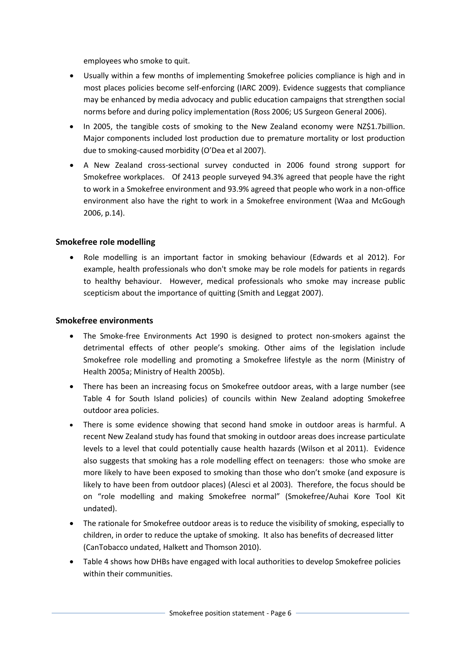employees who smoke to quit.

- Usually within a few months of implementing Smokefree policies compliance is high and in most places policies become self-enforcing (IARC 2009). Evidence suggests that compliance may be enhanced by media advocacy and public education campaigns that strengthen social norms before and during policy implementation (Ross 2006; US Surgeon General 2006).
- In 2005, the tangible costs of smoking to the New Zealand economy were NZ\$1.7billion. Major components included lost production due to premature mortality or lost production due to smoking-caused morbidity (O'Dea et al 2007).
- A New Zealand cross-sectional survey conducted in 2006 found strong support for Smokefree workplaces. Of 2413 people surveyed 94.3% agreed that people have the right to work in a Smokefree environment and 93.9% agreed that people who work in a non-office environment also have the right to work in a Smokefree environment (Waa and McGough 2006, p.14).

#### **Smokefree role modelling**

 Role modelling is an important factor in smoking behaviour (Edwards et al 2012). For example, health professionals who don't smoke may be role models for patients in regards to healthy behaviour. However, medical professionals who smoke may increase public scepticism about the importance of quitting (Smith and Leggat 2007).

#### **Smokefree environments**

- The Smoke-free Environments Act 1990 is designed to protect non-smokers against the detrimental effects of other people's smoking. Other aims of the legislation include Smokefree role modelling and promoting a Smokefree lifestyle as the norm (Ministry of Health 2005a; Ministry of Health 2005b).
- There has been an increasing focus on Smokefree outdoor areas, with a large number (see Table 4 for South Island policies) of councils within New Zealand adopting Smokefree outdoor area policies.
- There is some evidence showing that second hand smoke in outdoor areas is harmful. A recent New Zealand study has found that smoking in outdoor areas does increase particulate levels to a level that could potentially cause health hazards (Wilson et al 2011). Evidence also suggests that smoking has a role modelling effect on teenagers: those who smoke are more likely to have been exposed to smoking than those who don't smoke (and exposure is likely to have been from outdoor places) (Alesci et al 2003). Therefore, the focus should be on "role modelling and making Smokefree normal" (Smokefree/Auhai Kore Tool Kit undated).
- The rationale for Smokefree outdoor areas is to reduce the visibility of smoking, especially to children, in order to reduce the uptake of smoking. It also has benefits of decreased litter (CanTobacco undated, Halkett and Thomson 2010).
- Table 4 shows how DHBs have engaged with local authorities to develop Smokefree policies within their communities.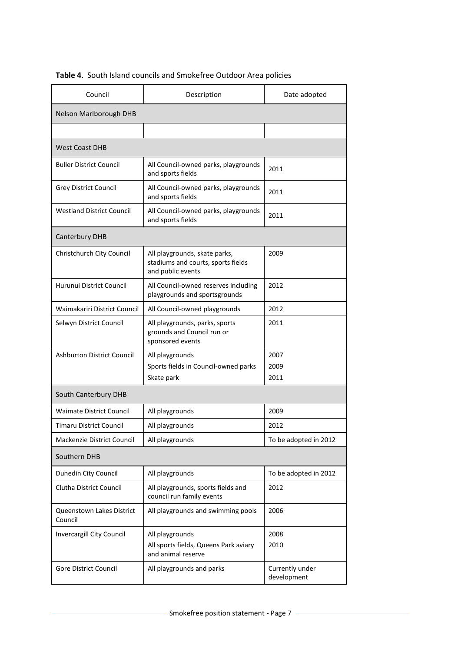| Council                              | Description                                                                              | Date adopted                   |  |  |  |
|--------------------------------------|------------------------------------------------------------------------------------------|--------------------------------|--|--|--|
| Nelson Marlborough DHB               |                                                                                          |                                |  |  |  |
|                                      |                                                                                          |                                |  |  |  |
| <b>West Coast DHB</b>                |                                                                                          |                                |  |  |  |
| <b>Buller District Council</b>       | All Council-owned parks, playgrounds<br>and sports fields                                | 2011                           |  |  |  |
| <b>Grey District Council</b>         | All Council-owned parks, playgrounds<br>and sports fields                                | 2011                           |  |  |  |
| <b>Westland District Council</b>     | All Council-owned parks, playgrounds<br>and sports fields                                | 2011                           |  |  |  |
| Canterbury DHB                       |                                                                                          |                                |  |  |  |
| Christchurch City Council            | All playgrounds, skate parks,<br>stadiums and courts, sports fields<br>and public events | 2009                           |  |  |  |
| Hurunui District Council             | All Council-owned reserves including<br>playgrounds and sportsgrounds                    | 2012                           |  |  |  |
| Waimakariri District Council         | All Council-owned playgrounds                                                            | 2012                           |  |  |  |
| Selwyn District Council              | All playgrounds, parks, sports<br>grounds and Council run or<br>sponsored events         | 2011                           |  |  |  |
| <b>Ashburton District Council</b>    | All playgrounds<br>Sports fields in Council-owned parks<br>Skate park                    | 2007<br>2009<br>2011           |  |  |  |
| South Canterbury DHB                 |                                                                                          |                                |  |  |  |
| <b>Waimate District Council</b>      | All playgrounds                                                                          | 2009                           |  |  |  |
| Timaru District Council              | All playgrounds                                                                          | 2012                           |  |  |  |
| <b>Mackenzie District Council</b>    | All playgrounds                                                                          | To be adopted in 2012          |  |  |  |
| Southern DHB                         |                                                                                          |                                |  |  |  |
| Dunedin City Council                 | All playgrounds                                                                          | To be adopted in 2012          |  |  |  |
| Clutha District Council              | All playgrounds, sports fields and<br>council run family events                          | 2012                           |  |  |  |
| Queenstown Lakes District<br>Council | All playgrounds and swimming pools                                                       | 2006                           |  |  |  |
| Invercargill City Council            | All playgrounds<br>All sports fields, Queens Park aviary<br>and animal reserve           | 2008<br>2010                   |  |  |  |
| Gore District Council                | All playgrounds and parks                                                                | Currently under<br>development |  |  |  |

# **Table 4**. South Island councils and Smokefree Outdoor Area policies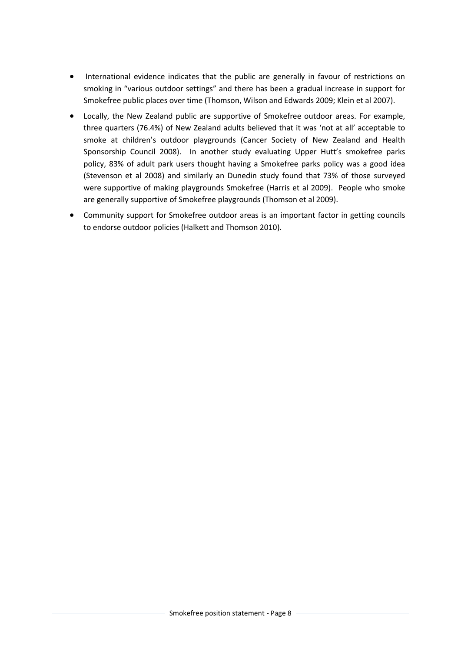- International evidence indicates that the public are generally in favour of restrictions on smoking in "various outdoor settings" and there has been a gradual increase in support for Smokefree public places over time (Thomson, Wilson and Edwards 2009; Klein et al 2007).
- Locally, the New Zealand public are supportive of Smokefree outdoor areas. For example, three quarters (76.4%) of New Zealand adults believed that it was 'not at all' acceptable to smoke at children's outdoor playgrounds (Cancer Society of New Zealand and Health Sponsorship Council 2008). In another study evaluating Upper Hutt's smokefree parks policy, 83% of adult park users thought having a Smokefree parks policy was a good idea (Stevenson et al 2008) and similarly an Dunedin study found that 73% of those surveyed were supportive of making playgrounds Smokefree (Harris et al 2009). People who smoke are generally supportive of Smokefree playgrounds (Thomson et al 2009).
- Community support for Smokefree outdoor areas is an important factor in getting councils to endorse outdoor policies (Halkett and Thomson 2010).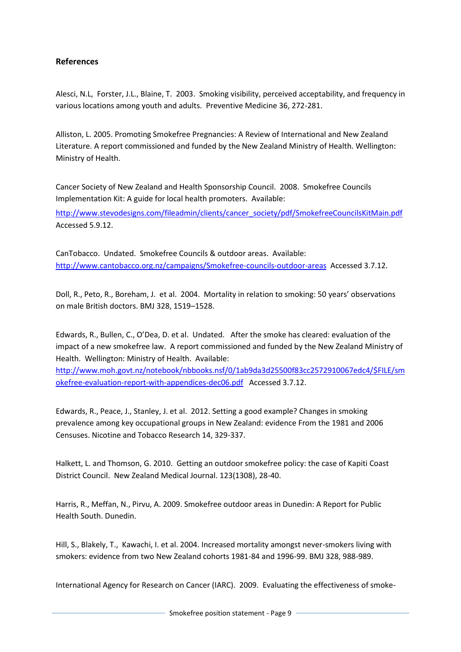# **References**

Alesci, N.L, Forster, J.L., Blaine, T. 2003. Smoking visibility, perceived acceptability, and frequency in various locations among youth and adults. Preventive Medicine 36, 272-281.

Alliston, L. 2005. Promoting Smokefree Pregnancies: A Review of International and New Zealand Literature. A report commissioned and funded by the New Zealand Ministry of Health. Wellington: Ministry of Health.

Cancer Society of New Zealand and Health Sponsorship Council. 2008. Smokefree Councils Implementation Kit: A guide for local health promoters. Available:

[http://www.stevodesigns.com/fileadmin/clients/cancer\\_society/pdf/SmokefreeCouncilsKitMain.pdf](http://www.stevodesigns.com/fileadmin/clients/cancer_society/pdf/SmokefreeCouncilsKitMain.pdf)  Accessed 5.9.12.

CanTobacco. Undated. Smokefree Councils & outdoor areas. Available: [http://www.cantobacco.org.nz/campaigns/Smokefree-councils-outdoor-areas](http://www.cantobacco.org.nz/campaigns/smokefree-councils-outdoor-areas) Accessed 3.7.12.

Doll, R., Peto, R., Boreham, J. et al. 2004. Mortality in relation to smoking: 50 years' observations on male British doctors. BMJ 328, 1519–1528.

Edwards, R., Bullen, C., O'Dea, D. et al. Undated. After the smoke has cleared: evaluation of the impact of a new smokefree law. A report commissioned and funded by the New Zealand Ministry of Health. Wellington: Ministry of Health. Available:

[http://www.moh.govt.nz/notebook/nbbooks.nsf/0/1ab9da3d25500f83cc2572910067edc4/\\$FILE/sm](http://www.moh.govt.nz/notebook/nbbooks.nsf/0/1ab9da3d25500f83cc2572910067edc4/$FILE/smokefree-evaluation-report-with-appendices-dec06.pdf) [okefree-evaluation-report-with-appendices-dec06.pdf](http://www.moh.govt.nz/notebook/nbbooks.nsf/0/1ab9da3d25500f83cc2572910067edc4/$FILE/smokefree-evaluation-report-with-appendices-dec06.pdf) Accessed 3.7.12.

Edwards, R., Peace, J., Stanley, J. et al. 2012. Setting a good example? Changes in smoking prevalence among key occupational groups in New Zealand: evidence From the 1981 and 2006 Censuses. Nicotine and Tobacco Research 14, 329-337.

Halkett, L. and Thomson, G. 2010. Getting an outdoor smokefree policy: the case of Kapiti Coast District Council. New Zealand Medical Journal. 123(1308), 28-40.

Harris, R., Meffan, N., Pirvu, A. 2009. Smokefree outdoor areas in Dunedin: A Report for Public Health South. Dunedin.

Hill, S., Blakely, T., Kawachi, I. et al. 2004. Increased mortality amongst never-smokers living with smokers: evidence from two New Zealand cohorts 1981-84 and 1996-99. BMJ 328, 988-989.

International Agency for Research on Cancer (IARC). 2009. Evaluating the effectiveness of smoke-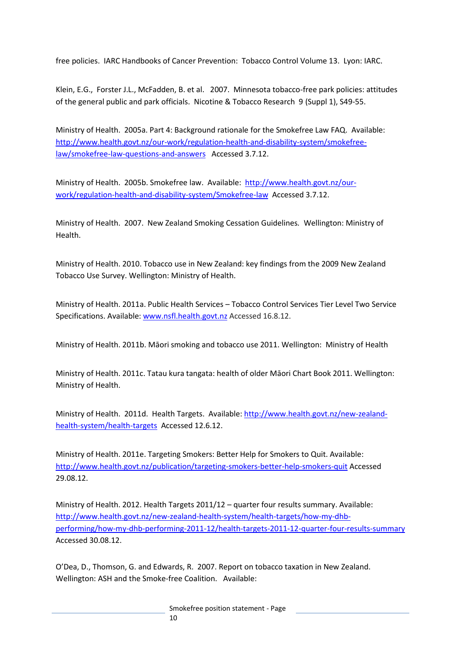free policies. IARC Handbooks of Cancer Prevention: Tobacco Control Volume 13. Lyon: IARC.

Klein, E.G., Forster J.L., McFadden, B. et al. 2007. Minnesota tobacco-free park policies: attitudes of the general public and park officials. Nicotine & Tobacco Research 9 (Suppl 1), S49-55.

Ministry of Health. 2005a. Part 4: Background rationale for the Smokefree Law FAQ. Available: [http://www.health.govt.nz/our-work/regulation-health-and-disability-system/smokefree](http://www.health.govt.nz/our-work/regulation-health-and-disability-system/smokefree-law/smokefree-law-questions-and-answers)[law/smokefree-law-questions-and-answers](http://www.health.govt.nz/our-work/regulation-health-and-disability-system/smokefree-law/smokefree-law-questions-and-answers) Accessed 3.7.12.

Ministry of Health. 2005b. Smokefree law. Available: [http://www.health.govt.nz/our](http://www.health.govt.nz/our-work/regulation-health-and-disability-system/smokefree-law)[work/regulation-health-and-disability-system/Smokefree-law](http://www.health.govt.nz/our-work/regulation-health-and-disability-system/smokefree-law) Accessed 3.7.12.

Ministry of Health. 2007. New Zealand Smoking Cessation Guidelines*.* Wellington: Ministry of Health.

Ministry of Health. 2010. Tobacco use in New Zealand: key findings from the 2009 New Zealand Tobacco Use Survey. Wellington: Ministry of Health.

Ministry of Health. 2011a. Public Health Services – Tobacco Control Services Tier Level Two Service Specifications. Available: [www.nsfl.health.govt.nz](http://www.nsfl.health.govt.nz/) Accessed 16.8.12.

Ministry of Health. 2011b. Māori smoking and tobacco use 2011. Wellington: Ministry of Health

Ministry of Health. 2011c. Tatau kura tangata: health of older Māori Chart Book 2011. Wellington: Ministry of Health.

Ministry of Health. 2011d. Health Targets. Available: [http://www.health.govt.nz/new-zealand](http://www.health.govt.nz/new-zealand-health-system/health-targets)[health-system/health-targets](http://www.health.govt.nz/new-zealand-health-system/health-targets) Accessed 12.6.12.

Ministry of Health. 2011e. Targeting Smokers: Better Help for Smokers to Quit. Available: <http://www.health.govt.nz/publication/targeting-smokers-better-help-smokers-quit> Accessed 29.08.12.

Ministry of Health. 2012. Health Targets 2011/12 – quarter four results summary. Available: [http://www.health.govt.nz/new-zealand-health-system/health-targets/how-my-dhb](http://www.health.govt.nz/new-zealand-health-system/health-targets/how-my-dhb-performing/how-my-dhb-performing-2011-12/health-targets-2011-12-quarter-four-results-summary)[performing/how-my-dhb-performing-2011-12/health-targets-2011-12-quarter-four-results-summary](http://www.health.govt.nz/new-zealand-health-system/health-targets/how-my-dhb-performing/how-my-dhb-performing-2011-12/health-targets-2011-12-quarter-four-results-summary) Accessed 30.08.12.

O'Dea, D., Thomson, G. and Edwards, R. 2007. Report on tobacco taxation in New Zealand. Wellington: ASH and the Smoke-free Coalition. Available: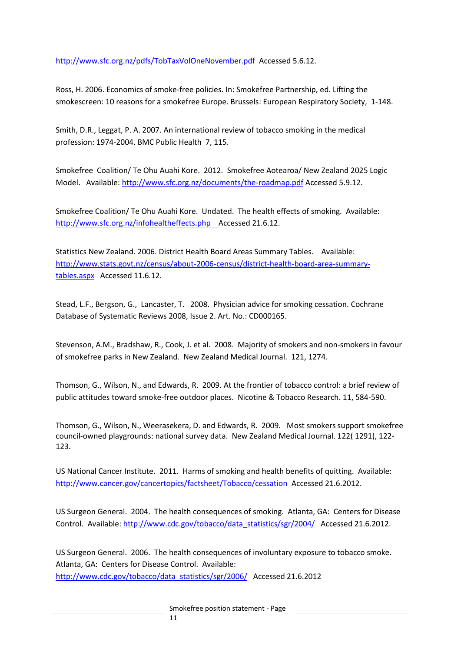<http://www.sfc.org.nz/pdfs/TobTaxVolOneNovember.pdf> Accessed 5.6.12.

Ross, H. 2006. Economics of smoke-free policies. In: Smokefree Partnership, ed. Lifting the smokescreen: 10 reasons for a smokefree Europe. Brussels: European Respiratory Society, 1-148.

Smith, D.R., Leggat, P. A. 2007. An international review of tobacco smoking in the medical profession: 1974-2004. BMC Public Health 7, 115.

Smokefree Coalition/ Te Ohu Auahi Kore. 2012. Smokefree Aotearoa/ New Zealand 2025 Logic Model.Available[: http://www.sfc.org.nz/documents/the-roadmap.pdf](http://www.sfc.org.nz/documents/the-roadmap.pdf) Accessed 5.9.12.

Smokefree Coalition/ Te Ohu Auahi Kore. Undated. The health effects of smoking. Available: [http://www.sfc.org.nz/infohealtheffects.php A](http://www.sfc.org.nz/infohealtheffects.php)ccessed 21.6.12.

Statistics New Zealand. 2006. District Health Board Areas Summary Tables. Available: [http://www.stats.govt.nz/census/about-2006-census/district-health-board-area-summary](http://www.stats.govt.nz/census/about-2006-census/district-health-board-area-summary-tables.aspx)[tables.aspx](http://www.stats.govt.nz/census/about-2006-census/district-health-board-area-summary-tables.aspx) Accessed 11.6.12.

Stead, L.F., Bergson, G., Lancaster, T. 2008. Physician advice for smoking cessation. Cochrane Database of Systematic Reviews 2008, Issue 2. Art. No.: CD000165.

Stevenson, A.M., Bradshaw, R., Cook, J. et al. 2008. Majority of smokers and non-smokers in favour of smokefree parks in New Zealand. New Zealand Medical Journal. 121, 1274.

Thomson, G., Wilson, N., and Edwards, R. 2009. At the frontier of tobacco control: a brief review of public attitudes toward smoke-free outdoor places. Nicotine & Tobacco Research. 11, 584-590.

Thomson, G., Wilson, N., Weerasekera, D. and Edwards, R. 2009. Most smokers support smokefree council-owned playgrounds: national survey data. New Zealand Medical Journal. 122( 1291), 122- 123.

US National Cancer Institute. 2011. Harms of smoking and health benefits of quitting. Available: <http://www.cancer.gov/cancertopics/factsheet/Tobacco/cessation>Accessed 21.6.2012.

US Surgeon General. 2004. The health consequences of smoking. Atlanta, GA: Centers for Disease Control. Available: [http://www.cdc.gov/tobacco/data\\_statistics/sgr/2004/](http://www.cdc.gov/tobacco/data_statistics/sgr/2004/) Accessed 21.6.2012.

US Surgeon General. 2006. The health consequences of involuntary exposure to tobacco smoke. Atlanta, GA: Centers for Disease Control. Available: [http://www.cdc.gov/tobacco/data\\_statistics/sgr/2006/](http://www.cdc.gov/tobacco/data_statistics/sgr/2006/) Accessed 21.6.2012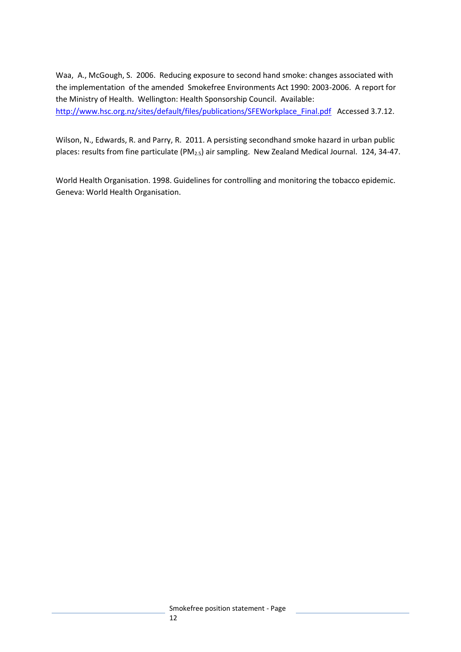Waa, A., McGough, S. 2006. Reducing exposure to second hand smoke: changes associated with the implementation of the amended Smokefree Environments Act 1990: 2003-2006. A report for the Ministry of Health. Wellington: Health Sponsorship Council. Available: [http://www.hsc.org.nz/sites/default/files/publications/SFEWorkplace\\_Final.pdf](http://www.hsc.org.nz/sites/default/files/publications/SFEWorkplace_Final.pdf) Accessed 3.7.12.

Wilson, N., Edwards, R. and Parry, R. 2011. A persisting secondhand smoke hazard in urban public places: results from fine particulate (PM2.5) air sampling. New Zealand Medical Journal. 124, 34-47.

World Health Organisation. 1998. Guidelines for controlling and monitoring the tobacco epidemic. Geneva: World Health Organisation.